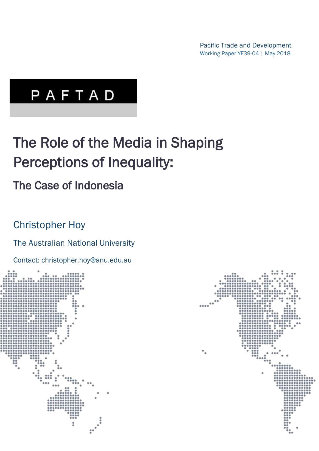Pacific Trade and Development Working Paper YF39-04 | May 2018

# PAFTAD

## The Role of the Media in Shaping Perceptions of Inequality:

## The Case of Indonesia

### Christopher Hoy

### The Australian National University

Contact: christopher.hoy@anu.edu.au



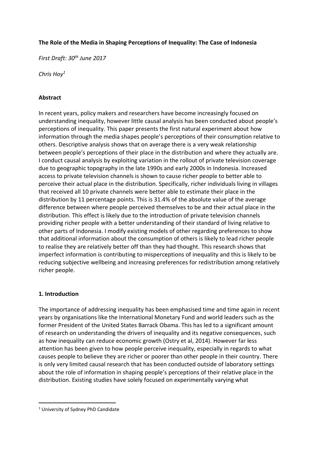#### **The Role of the Media in Shaping Perceptions of Inequality: The Case of Indonesia**

*First Draft: 30th June 2017*

*Chris Hoy<sup>1</sup>*

#### **Abstract**

In recent years, policy makers and researchers have become increasingly focused on understanding inequality, however little causal analysis has been conducted about people's perceptions of inequality. This paper presents the first natural experiment about how information through the media shapes people's perceptions of their consumption relative to others. Descriptive analysis shows that on average there is a very weak relationship between people's perceptions of their place in the distribution and where they actually are. I conduct causal analysis by exploiting variation in the rollout of private television coverage due to geographic topography in the late 1990s and early 2000s in Indonesia. Increased access to private television channels is shown to cause richer people to better able to perceive their actual place in the distribution. Specifically, richer individuals living in villages that received all 10 private channels were better able to estimate their place in the distribution by 11 percentage points. This is 31.4% of the absolute value of the average difference between where people perceived themselves to be and their actual place in the distribution. This effect is likely due to the introduction of private television channels providing richer people with a better understanding of their standard of living relative to other parts of Indonesia. I modify existing models of other regarding preferences to show that additional information about the consumption of others is likely to lead richer people to realise they are relatively better off than they had thought. This research shows that imperfect information is contributing to misperceptions of inequality and this is likely to be reducing subjective wellbeing and increasing preferences for redistribution among relatively richer people.

#### **1. Introduction**

The importance of addressing inequality has been emphasised time and time again in recent years by organisations like the International Monetary Fund and world leaders such as the former President of the United States Barrack Obama. This has led to a significant amount of research on understanding the drivers of inequality and its negative consequences, such as how inequality can reduce economic growth (Ostry et al, 2014). However far less attention has been given to how people perceive inequality, especially in regards to what causes people to believe they are richer or poorer than other people in their country. There is only very limited causal research that has been conducted outside of laboratory settings about the role of information in shaping people's perceptions of their relative place in the distribution. Existing studies have solely focused on experimentally varying what

j

<sup>1</sup> University of Sydney PhD Candidate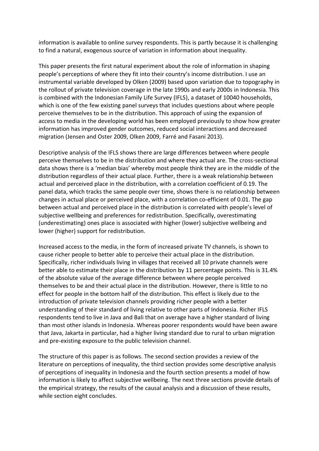information is available to online survey respondents. This is partly because it is challenging to find a natural, exogenous source of variation in information about inequality.

This paper presents the first natural experiment about the role of information in shaping people's perceptions of where they fit into their country's income distribution. I use an instrumental variable developed by Olken (2009) based upon variation due to topography in the rollout of private television coverage in the late 1990s and early 2000s in Indonesia. This is combined with the Indonesian Family Life Survey (IFLS), a dataset of 10040 households, which is one of the few existing panel surveys that includes questions about where people perceive themselves to be in the distribution. This approach of using the expansion of access to media in the developing world has been employed previously to show how greater information has improved gender outcomes, reduced social interactions and decreased migration (Jensen and Oster 2009, Olken 2009, Farré and Fasani 2013).

Descriptive analysis of the IFLS shows there are large differences between where people perceive themselves to be in the distribution and where they actual are. The cross-sectional data shows there is a 'median bias' whereby most people think they are in the middle of the distribution regardless of their actual place. Further, there is a weak relationship between actual and perceived place in the distribution, with a correlation coefficient of 0.19. The panel data, which tracks the same people over time, shows there is no relationship between changes in actual place or perceived place, with a correlation co-efficient of 0.01. The gap between actual and perceived place in the distribution is correlated with people's level of subjective wellbeing and preferences for redistribution. Specifically, overestimating (underestimating) ones place is associated with higher (lower) subjective wellbeing and lower (higher) support for redistribution.

Increased access to the media, in the form of increased private TV channels, is shown to cause richer people to better able to perceive their actual place in the distribution. Specifically, richer individuals living in villages that received all 10 private channels were better able to estimate their place in the distribution by 11 percentage points. This is 31.4% of the absolute value of the average difference between where people perceived themselves to be and their actual place in the distribution. However, there is little to no effect for people in the bottom half of the distribution. This effect is likely due to the introduction of private television channels providing richer people with a better understanding of their standard of living relative to other parts of Indonesia. Richer IFLS respondents tend to live in Java and Bali that on average have a higher standard of living than most other islands in Indonesia. Whereas poorer respondents would have been aware that Java, Jakarta in particular, had a higher living standard due to rural to urban migration and pre-existing exposure to the public television channel.

The structure of this paper is as follows. The second section provides a review of the literature on perceptions of inequality, the third section provides some descriptive analysis of perceptions of inequality in Indonesia and the fourth section presents a model of how information is likely to affect subjective wellbeing. The next three sections provide details of the empirical strategy, the results of the causal analysis and a discussion of these results, while section eight concludes.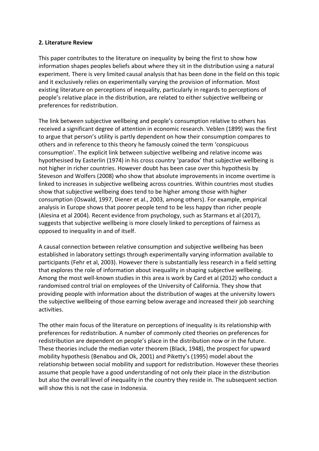#### **2. Literature Review**

This paper contributes to the literature on inequality by being the first to show how information shapes peoples beliefs about where they sit in the distribution using a natural experiment. There is very limited causal analysis that has been done in the field on this topic and it exclusively relies on experimentally varying the provision of information. Most existing literature on perceptions of inequality, particularly in regards to perceptions of people's relative place in the distribution, are related to either subjective wellbeing or preferences for redistribution.

The link between subjective wellbeing and people's consumption relative to others has received a significant degree of attention in economic research. Veblen (1899) was the first to argue that person's utility is partly dependent on how their consumption compares to others and in reference to this theory he famously coined the term 'conspicuous consumption'. The explicit link between subjective wellbeing and relative income was hypothesised by Easterlin (1974) in his cross country 'paradox' that subjective wellbeing is not higher in richer countries. However doubt has been case over this hypothesis by Steveson and Wolfers (2008) who show that absolute improvements in income overtime is linked to increases in subjective wellbeing across countries. Within countries most studies show that subjective wellbeing does tend to be higher among those with higher consumption (Oswald, 1997, Diener et al., 2003, among others). For example, empirical analysis in Europe shows that poorer people tend to be less happy than richer people (Alesina et al 2004). Recent evidence from psychology, such as Starmans et al (2017), suggests that subjective wellbeing is more closely linked to perceptions of fairness as opposed to inequality in and of itself.

A causal connection between relative consumption and subjective wellbeing has been established in laboratory settings through experimentally varying information available to participants (Fehr et al, 2003). However there is substantially less research in a field setting that explores the role of information about inequality in shaping subjective wellbeing. Among the most well-known studies in this area is work by Card et al (2012) who conduct a randomised control trial on employees of the University of California. They show that providing people with information about the distribution of wages at the university lowers the subjective wellbeing of those earning below average and increased their job searching activities.

The other main focus of the literature on perceptions of inequality is its relationship with preferences for redistribution. A number of commonly cited theories on preferences for redistribution are dependent on people's place in the distribution now or in the future. These theories include the median voter theorem (Black, 1948), the prospect for upward mobility hypothesis (Benabou and Ok, 2001) and Piketty's (1995) model about the relationship between social mobility and support for redistribution. However these theories assume that people have a good understanding of not only their place in the distribution but also the overall level of inequality in the country they reside in. The subsequent section will show this is not the case in Indonesia.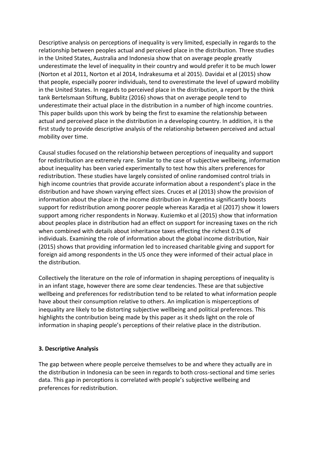Descriptive analysis on perceptions of inequality is very limited, especially in regards to the relationship between peoples actual and perceived place in the distribution. Three studies in the United States, Australia and Indonesia show that on average people greatly underestimate the level of inequality in their country and would prefer it to be much lower (Norton et al 2011, Norton et al 2014, Indrakesuma et al 2015). Davidai et al (2015) show that people, especially poorer individuals, tend to overestimate the level of upward mobility in the United States. In regards to perceived place in the distribution, a report by the think tank Bertelsmaan Stiftung, Bublitz (2016) shows that on average people tend to underestimate their actual place in the distribution in a number of high income countries. This paper builds upon this work by being the first to examine the relationship between actual and perceived place in the distribution in a developing country. In addition, it is the first study to provide descriptive analysis of the relationship between perceived and actual mobility over time.

Causal studies focused on the relationship between perceptions of inequality and support for redistribution are extremely rare. Similar to the case of subjective wellbeing, information about inequality has been varied experimentally to test how this alters preferences for redistribution. These studies have largely consisted of online randomised control trials in high income countries that provide accurate information about a respondent's place in the distribution and have shown varying effect sizes. Cruces et al (2013) show the provision of information about the place in the income distribution in Argentina significantly boosts support for redistribution among poorer people whereas Karadja et al (2017) show it lowers support among richer respondents in Norway. Kuziemko et al (2015) show that information about peoples place in distribution had an effect on support for increasing taxes on the rich when combined with details about inheritance taxes effecting the richest 0.1% of individuals. Examining the role of information about the global income distribution, Nair (2015) shows that providing information led to increased charitable giving and support for foreign aid among respondents in the US once they were informed of their actual place in the distribution.

Collectively the literature on the role of information in shaping perceptions of inequality is in an infant stage, however there are some clear tendencies. These are that subjective wellbeing and preferences for redistribution tend to be related to what information people have about their consumption relative to others. An implication is misperceptions of inequality are likely to be distorting subjective wellbeing and political preferences. This highlights the contribution being made by this paper as it sheds light on the role of information in shaping people's perceptions of their relative place in the distribution.

#### **3. Descriptive Analysis**

The gap between where people perceive themselves to be and where they actually are in the distribution in Indonesia can be seen in regards to both cross-sectional and time series data. This gap in perceptions is correlated with people's subjective wellbeing and preferences for redistribution.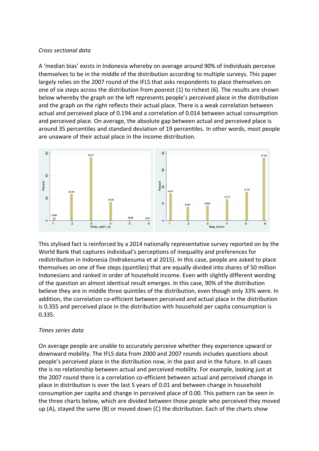#### *Cross sectional data*

A 'median bias' exists in Indonesia whereby on average around 90% of individuals perceive themselves to be in the middle of the distribution according to multiple surveys. This paper largely relies on the 2007 round of the IFLS that asks respondents to place themselves on one of six steps across the distribution from poorest (1) to richest (6). The results are shown below whereby the graph on the left represents people's perceived place in the distribution and the graph on the right reflects their actual place. There is a weak correlation between actual and perceived place of 0.194 and a correlation of 0.014 between actual consumption and perceived place. On average, the absolute gap between actual and perceived place is around 35 percentiles and standard deviation of 19 percentiles. In other words, most people are unaware of their actual place in the income distribution.



This stylised fact is reinforced by a 2014 nationally representative survey reported on by the World Bank that captures individual's perceptions of inequality and preferences for redistribution in Indonesia (Indrakesuma et al 2015). In this case, people are asked to place themselves on one of five steps (quintiles) that are equally divided into shares of 50 million Indonesians and ranked in order of household income. Even with slightly different wording of the question an almost identical result emerges. In this case, 90% of the distribution believe they are in middle three quintiles of the distribution, even though only 33% were. In addition, the correlation co-efficient between perceived and actual place in the distribution is 0.355 and perceived place in the distribution with household per capita consumption is 0.335.

#### *Times series data*

On average people are unable to accurately perceive whether they experience upward or downward mobility. The IFLS data from 2000 and 2007 rounds includes questions about people's perceived place in the distribution now, in the past and in the future. In all cases the is no relationship between actual and perceived mobility. For example, looking just at the 2007 round there is a correlation co-efficient between actual and perceived change in place in distribution is over the last 5 years of 0.01 and between change in household consumption per capita and change in perceived place of 0.00. This pattern can be seen in the three charts below, which are divided between those people who perceived they moved up (A), stayed the same (B) or moved down (C) the distribution. Each of the charts show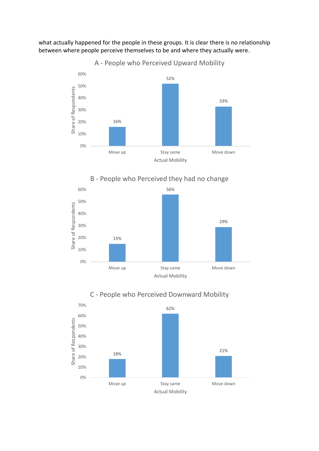what actually happened for the people in these groups. It is clear there is no relationship between where people perceive themselves to be and where they actually were.



B - People who Perceived they had no change





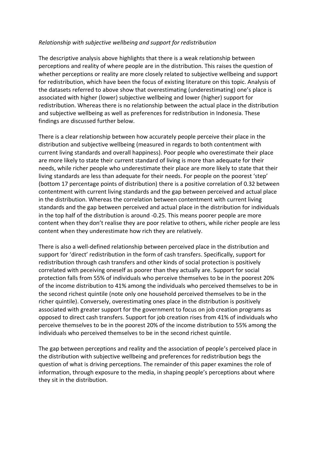#### *Relationship with subjective wellbeing and support for redistribution*

The descriptive analysis above highlights that there is a weak relationship between perceptions and reality of where people are in the distribution. This raises the question of whether perceptions or reality are more closely related to subjective wellbeing and support for redistribution, which have been the focus of existing literature on this topic. Analysis of the datasets referred to above show that overestimating (underestimating) one's place is associated with higher (lower) subjective wellbeing and lower (higher) support for redistribution. Whereas there is no relationship between the actual place in the distribution and subjective wellbeing as well as preferences for redistribution in Indonesia. These findings are discussed further below.

There is a clear relationship between how accurately people perceive their place in the distribution and subjective wellbeing (measured in regards to both contentment with current living standards and overall happiness). Poor people who overestimate their place are more likely to state their current standard of living is more than adequate for their needs, while richer people who underestimate their place are more likely to state that their living standards are less than adequate for their needs. For people on the poorest 'step' (bottom 17 percentage points of distribution) there is a positive correlation of 0.32 between contentment with current living standards and the gap between perceived and actual place in the distribution. Whereas the correlation between contentment with current living standards and the gap between perceived and actual place in the distribution for individuals in the top half of the distribution is around -0.25. This means poorer people are more content when they don't realise they are poor relative to others, while richer people are less content when they underestimate how rich they are relatively.

There is also a well-defined relationship between perceived place in the distribution and support for 'direct' redistribution in the form of cash transfers. Specifically, support for redistribution through cash transfers and other kinds of social protection is positively correlated with peceiving oneself as poorer than they actually are. Support for social protection falls from 55% of individuals who perceive themselves to be in the poorest 20% of the income distribution to 41% among the individuals who perceived themselves to be in the second richest quintile (note only one household perceived themselves to be in the richer quintile). Conversely, overestimating ones place in the distribution is positively associated with greater support for the government to focus on job creation programs as opposed to direct cash transfers. Support for job creation rises from 41% of individuals who perceive themselves to be in the poorest 20% of the income distribution to 55% among the individuals who perceived themselves to be in the second richest quintile.

The gap between perceptions and reality and the association of people's perceived place in the distribution with subjective wellbeing and preferences for redistribution begs the question of what is driving perceptions. The remainder of this paper examines the role of information, through exposure to the media, in shaping people's perceptions about where they sit in the distribution.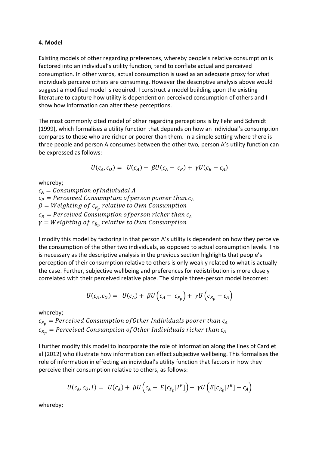#### **4. Model**

Existing models of other regarding preferences, whereby people's relative consumption is factored into an individual's utility function, tend to conflate actual and perceived consumption. In other words, actual consumption is used as an adequate proxy for what individuals perceive others are consuming. However the descriptive analysis above would suggest a modified model is required. I construct a model building upon the existing literature to capture how utility is dependent on perceived consumption of others and I show how information can alter these perceptions.

The most commonly cited model of other regarding perceptions is by Fehr and Schmidt (1999), which formalises a utility function that depends on how an individual's consumption compares to those who are richer or poorer than them. In a simple setting where there is three people and person A consumes between the other two, person A's utility function can be expressed as follows:

$$
U(c_A, c_O) = U(c_A) + \beta U(c_A - c_P) + \gamma U(c_R - c_A)
$$

whereby;

 $c_A =$  Consumption of Indiviudal A  $c_P$  = Perceived Consumption of person poorer than  $c_A$  $\beta= Weighting$  of  $c_{P_p}$  relative to Own Consumption  $c_R$  = Perceived Consumption of person richer than  $c_A$  $\gamma = Weighting$  of  $c_{R_p}$  relative to Own Consumption

I modify this model by factoring in that person A's utility is dependent on how they perceive the consumption of the other two individuals, as opposed to actual consumption levels. This is necessary as the descriptive analysis in the previous section highlights that people's perception of their consumption relative to others is only weakly related to what is actually the case. Further, subjective wellbeing and preferences for redistribution is more closely correlated with their perceived relative place. The simple three-person model becomes:

$$
U(c_A, c_O) = U(c_A) + \beta U\left(c_A - c_{P_p}\right) + \gamma U\left(c_{R_p} - c_A\right)
$$

whereby;

 $c_{P_n}$  = Perceived Consumption of Other Individuals poorer than  $c_A$  $c_{R_p}$  = Perceived Consumption of Other Individuals richer than  $c_A$ 

I further modify this model to incorporate the role of information along the lines of Card et al (2012) who illustrate how information can effect subjective wellbeing. This formalises the role of information in effecting an individual's utility function that factors in how they perceive their consumption relative to others, as follows:

$$
U(c_A, c_O, I) = U(c_A) + \beta U (c_A - E[c_{P_p} | I^P]) + \gamma U (E[c_{R_p} | I^R] - c_A)
$$

whereby;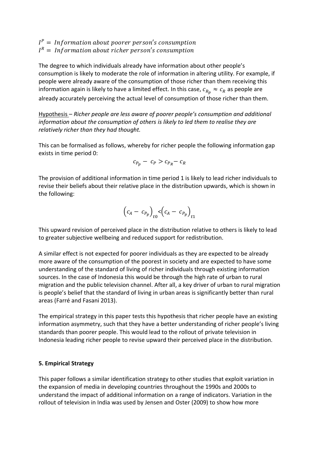$I^P = Information$  about poorer person's consumption  $I^R = Information$  about richer person's consumption

The degree to which individuals already have information about other people's consumption is likely to moderate the role of information in altering utility. For example, if people were already aware of the consumption of those richer than them receiving this information again is likely to have a limited effect. In this case,  $c_{R_n} \approx c_R$  as people are already accurately perceiving the actual level of consumption of those richer than them.

Hypothesis – *Richer people are less aware of poorer people's consumption and additional information about the consumption of others is likely to led them to realise they are relatively richer than they had thought.*

This can be formalised as follows, whereby for richer people the following information gap exists in time period 0:

$$
c_{P_p} - c_P > c_{P_R} - c_R
$$

The provision of additional information in time period 1 is likely to lead richer individuals to revise their beliefs about their relative place in the distribution upwards, which is shown in the following:

$$
(c_A - c_{P_p})_{t0} < (c_A - c_{P_p})_{t1}
$$

This upward revision of perceived place in the distribution relative to others is likely to lead to greater subjective wellbeing and reduced support for redistribution.

A similar effect is not expected for poorer individuals as they are expected to be already more aware of the consumption of the poorest in society and are expected to have some understanding of the standard of living of richer individuals through existing information sources. In the case of Indonesia this would be through the high rate of urban to rural migration and the public television channel. After all, a key driver of urban to rural migration is people's belief that the standard of living in urban areas is significantly better than rural areas (Farré and Fasani 2013).

The empirical strategy in this paper tests this hypothesis that richer people have an existing information asymmetry, such that they have a better understanding of richer people's living standards than poorer people. This would lead to the rollout of private television in Indonesia leading richer people to revise upward their perceived place in the distribution.

#### **5. Empirical Strategy**

This paper follows a similar identification strategy to other studies that exploit variation in the expansion of media in developing countries throughout the 1990s and 2000s to understand the impact of additional information on a range of indicators. Variation in the rollout of television in India was used by Jensen and Oster (2009) to show how more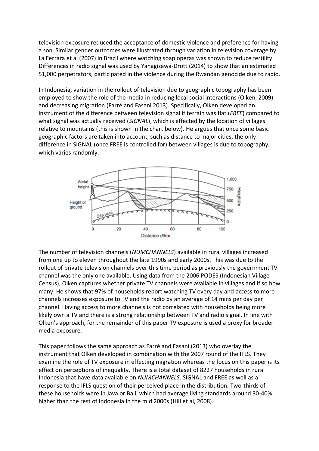television exposure reduced the acceptance of domestic violence and preference for having a son. Similar gender outcomes were illustrated through variation in television coverage by La Ferrara et al (2007) in Brazil where watching soap operas was shown to reduce fertility. Differences in radio signal was used by Yanagizawa-Drott (2014) to show that an estimated 51,000 perpetrators, participated in the violence during the Rwandan genocide due to radio.

In Indonesia, variation in the rollout of television due to geographic topography has been employed to show the role of the media in reducing local social interactions (Olken, 2009) and decreasing migration (Farré and Fasani 2013). Specifically, Olken developed an instrument of the difference between television signal if terrain was flat (*FREE*) compared to what signal was actually received (*SIGNAL*), which is effected by the location of villages relative to mountains (this is shown in the chart below). He argues that once some basic geographic factors are taken into account, such as distance to major cities, the only difference in SIGNAL (once FREE is controlled for) between villages is due to topography, which varies randomly.



The number of television channels (*NUMCHANNELS*) available in rural villages increased from one up to eleven throughout the late 1990s and early 2000s. This was due to the rollout of private television channels over this time period as previously the government TV channel was the only one available. Using data from the 2006 PODES (Indonesian Village Census), Olken captures whether private TV channels were available in villages and if so how many. He shows that 97% of households report watching TV every day and access to more channels increases exposure to TV and the radio by an average of 14 mins per day per channel. Having access to more channels is not correlated with households being more likely own a TV and there is a strong relationship between TV and radio signal. In line with Olken's approach, for the remainder of this paper TV exposure is used a proxy for broader media exposure.

This paper follows the same approach as Farré and Fasani (2013) who overlay the instrument that Olken developed in combination with the 2007 round of the IFLS. They examine the role of TV exposure in effecting migration whereas the focus on this paper is its effect on perceptions of inequality. There is a total dataset of 8227 households in rural Indonesia that have data available on *NUMCHANNELS,* SIGNAL and FREE as well as a response to the IFLS question of their perceived place in the distribution. Two-thirds of these households were in Java or Bali, which had average living standards around 30-40% higher than the rest of Indonesia in the mid 2000s (Hill et al, 2008).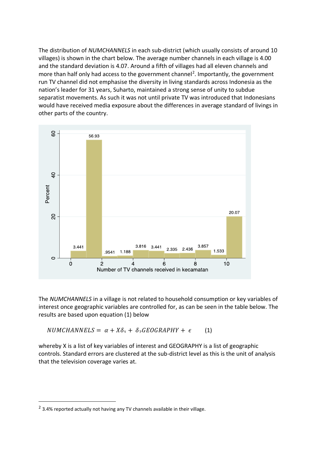The distribution of *NUMCHANNELS* in each sub-district (which usually consists of around 10 villages) is shown in the chart below. The average number channels in each village is 4.00 and the standard deviation is 4.07. Around a fifth of villages had all eleven channels and more than half only had access to the government channel<sup>2</sup>. Importantly, the government run TV channel did not emphasise the diversity in living standards across Indonesia as the nation's leader for 31 years, Suharto, maintained a strong sense of unity to subdue separatist movements. As such it was not until private TV was introduced that Indonesians would have received media exposure about the differences in average standard of livings in other parts of the country.



The *NUMCHANNELS* in a village is not related to household consumption or key variables of interest once geographic variables are controlled for, as can be seen in the table below. The results are based upon equation (1) below

(1)  $NUMCHANNELS = \alpha + X\delta_1 + \delta_2 GEOGRAPHY + \epsilon$ 

whereby X is a list of key variables of interest and GEOGRAPHY is a list of geographic controls. Standard errors are clustered at the sub-district level as this is the unit of analysis that the television coverage varies at.

 $\overline{a}$ 

 $2$  3.4% reported actually not having any TV channels available in their village.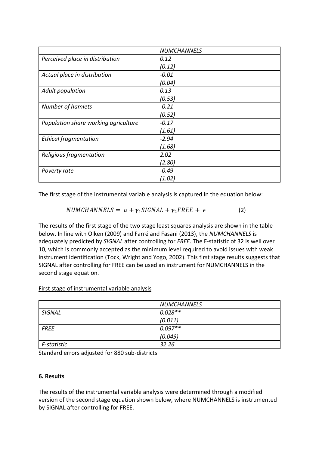|                                      | <b>NUMCHANNELS</b> |
|--------------------------------------|--------------------|
| Perceived place in distribution      | 0.12               |
|                                      | (0.12)             |
| Actual place in distribution         | $-0.01$            |
|                                      | (0.04)             |
| Adult population                     | 0.13               |
|                                      | (0.53)             |
| Number of hamlets                    | $-0.21$            |
|                                      | (0.52)             |
| Population share working agriculture | $-0.17$            |
|                                      | (1.61)             |
| <b>Ethical fragmentation</b>         | $-2.94$            |
|                                      | (1.68)             |
| Religious fragmentation              | 2.02               |
|                                      | (2.80)             |
| Poverty rate                         | $-0.49$            |
|                                      | (1.02)             |

The first stage of the instrumental variable analysis is captured in the equation below:

$$
NUMCHANNELS = \alpha + \gamma_1 SIGNAL + \gamma_2 FREE + \epsilon \tag{2}
$$

The results of the first stage of the two stage least squares analysis are shown in the table below. In line with Olken (2009) and Farré and Fasani (2013), the *NUMCHANNELS* is adequately predicted by *SIGNAL* after controlling for *FREE*. The F-statistic of 32 is well over 10, which is commonly accepted as the minimum level required to avoid issues with weak instrument identification (Tock, Wright and Yogo, 2002). This first stage results suggests that SIGNAL after controlling for FREE can be used an instrument for NUMCHANNELS in the second stage equation.

|             | <b>NUMCHANNELS</b> |
|-------------|--------------------|
| SIGNAL      | $0.028**$          |
|             | (0.011)            |
| <i>FREE</i> | $0.097**$          |
|             | (0.049)            |
| F-statistic | 32.26              |

First stage of instrumental variable analysis

Standard errors adjusted for 880 sub-districts

#### **6. Results**

The results of the instrumental variable analysis were determined through a modified version of the second stage equation shown below, where NUMCHANNELS is instrumented by SIGNAL after controlling for FREE.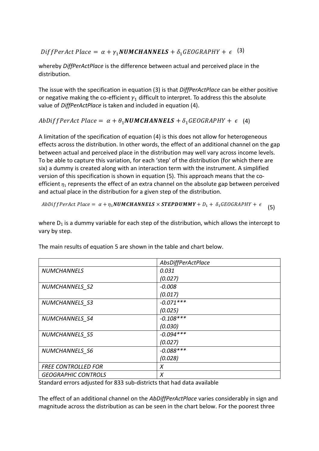DiffPerAct Place =  $\alpha + \gamma_1$ NUMCHANNELS +  $\delta_1$ GEOGRAPHY +  $\epsilon$  (3)

whereby *DiffPerActPlace* is the difference between actual and perceived place in the distribution.

The issue with the specification in equation (3) is that *DiffPerActPlace* can be either positive or negative making the co-efficient  $\gamma_1$  difficult to interpret. To address this the absolute value of *DiffPerActPlace* is taken and included in equation (4).

 $AbbifPerAct$  Place =  $\alpha + \theta_1$ NUMCHANNELS +  $\delta_1$ GEOGRAPHY +  $\epsilon$  (4)

A limitation of the specification of equation (4) is this does not allow for heterogeneous effects across the distribution. In other words, the effect of an additional channel on the gap between actual and perceived place in the distribution may well vary across income levels. To be able to capture this variation, for each 'step' of the distribution (for which there are six) a dummy is created along with an interaction term with the instrument. A simplified version of this specification is shown in equation (5). This approach means that the coefficient  $\eta_1$  represents the effect of an extra channel on the absolute gap between perceived and actual place in the distribution for a given step of the distribution.

(5) AbDiffPerAct Place =  $\alpha + \eta_1$ NUMCHANNELS  $\times$  STEPDUMMY +  $D_1 + \delta_1$ GEOGRAPHY +  $\epsilon$ 

where  $D_1$  is a dummy variable for each step of the distribution, which allows the intercept to vary by step.

|                            | AbsDiffPerActPlace |
|----------------------------|--------------------|
| <b>NUMCHANNELS</b>         | 0.031              |
|                            | (0.027)            |
| NUMCHANNELS S2             | $-0.008$           |
|                            | (0.017)            |
| NUMCHANNELS S3             | $-0.071***$        |
|                            | (0.025)            |
| NUMCHANNELS S4             | $-0.108***$        |
|                            | (0.030)            |
| NUMCHANNELS S5             | $-0.094***$        |
|                            | (0.027)            |
| NUMCHANNELS S6             | $-0.088***$        |
|                            | (0.028)            |
| <b>FREE CONTROLLED FOR</b> | X                  |
| <b>GEOGRAPHIC CONTROLS</b> | X                  |

The main results of equation 5 are shown in the table and chart below.

Standard errors adjusted for 833 sub-districts that had data available

The effect of an additional channel on the *AbDiffPerActPlace* varies considerably in sign and magnitude across the distribution as can be seen in the chart below. For the poorest three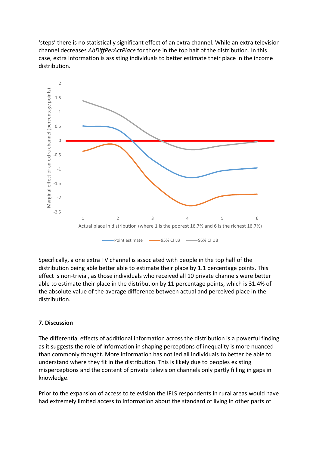'steps' there is no statistically significant effect of an extra channel. While an extra television channel decreases *AbDiffPerActPlace* for those in the top half of the distribution. In this case, extra information is assisting individuals to better estimate their place in the income distribution.



Specifically, a one extra TV channel is associated with people in the top half of the distribution being able better able to estimate their place by 1.1 percentage points. This effect is non-trivial, as those individuals who received all 10 private channels were better able to estimate their place in the distribution by 11 percentage points, which is 31.4% of the absolute value of the average difference between actual and perceived place in the distribution.

#### **7. Discussion**

The differential effects of additional information across the distribution is a powerful finding as it suggests the role of information in shaping perceptions of inequality is more nuanced than commonly thought. More information has not led all individuals to better be able to understand where they fit in the distribution. This is likely due to peoples existing misperceptions and the content of private television channels only partly filling in gaps in knowledge.

Prior to the expansion of access to television the IFLS respondents in rural areas would have had extremely limited access to information about the standard of living in other parts of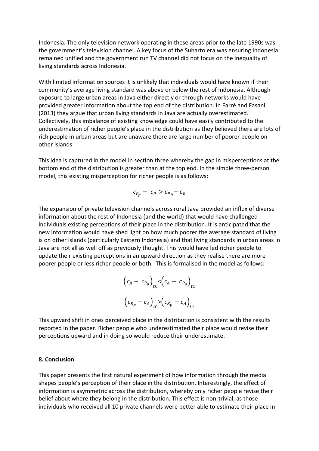Indonesia. The only television network operating in these areas prior to the late 1990s was the government's television channel. A key focus of the Suharto era was ensuring Indonesia remained unified and the government run TV channel did not focus on the inequality of living standards across Indonesia.

With limited information sources it is unlikely that individuals would have known if their community's average living standard was above or below the rest of Indonesia. Although exposure to large urban areas in Java either directly or through networks would have provided greater information about the top end of the distribution. In Farré and Fasani (2013) they argue that urban living standards in Java are actually overestimated. Collectively, this imbalance of existing knowledge could have easily contributed to the underestimation of richer people's place in the distribution as they believed there are lots of rich people in urban areas but are unaware there are large number of poorer people on other islands.

This idea is captured in the model in section three whereby the gap in misperceptions at the bottom end of the distribution is greater than at the top end. In the simple three-person model, this existing misperception for richer people is as follows:

$$
c_{P_p} - c_P > c_{P_R} - c_R
$$

The expansion of private television channels across rural Java provided an influx of diverse information about the rest of Indonesia (and the world) that would have challenged individuals existing perceptions of their place in the distribution. It is anticipated that the new information would have shed light on how much poorer the average standard of living is on other islands (particularly Eastern Indonesia) and that living standards in urban areas in Java are not all as well off as previously thought. This would have led richer people to update their existing perceptions in an upward direction as they realise there are more poorer people or less richer people or both. This is formalised in the model as follows:

$$
(c_A - c_{P_p})_{t0} < (c_A - c_{P_p})_{t1}
$$

$$
(c_{R_p} - c_A)_{t0} > (c_{R_p} - c_A)_{t1}
$$

This upward shift in ones perceived place in the distribution is consistent with the results reported in the paper. Richer people who underestimated their place would revise their perceptions upward and in doing so would reduce their underestimate.

#### **8. Conclusion**

This paper presents the first natural experiment of how information through the media shapes people's perception of their place in the distribution. Interestingly, the effect of information is asymmetric across the distribution, whereby only richer people revise their belief about where they belong in the distribution. This effect is non-trivial, as those individuals who received all 10 private channels were better able to estimate their place in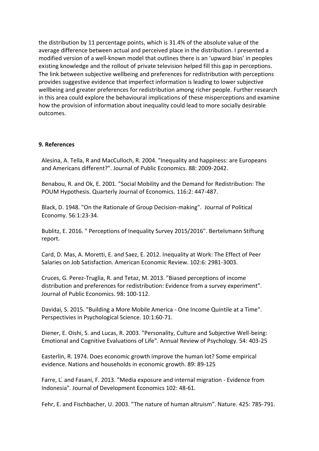the distribution by 11 percentage points, which is 31.4% of the absolute value of the average difference between actual and perceived place in the distribution. I presented a modified version of a well-known model that outlines there is an 'upward bias' in peoples existing knowledge and the rollout of private television helped fill this gap in perceptions. The link between subjective wellbeing and preferences for redistribution with perceptions provides suggestive evidence that imperfect information is leading to lower subjective wellbeing and greater preferences for redistribution among richer people. Further research in this area could explore the behavioural implications of these misperceptions and examine how the provision of information about inequality could lead to more socially desirable outcomes.

#### **9. References**

Alesina, A. Tella, R and MacCulloch, R. 2004. "Inequality and happiness: are Europeans and Americans different?". Journal of Public Economics. 88: 2009-2042.

Benabou, R. and Ok, E. 2001. "Social Mobility and the Demand for Redistribution: The POUM Hypothesis. Quarterly Journal of Economics. 116:2: 447-487.

Black, D. 1948. "On the Rationale of Group Decision-making". Journal of Political Economy. 56:1:23-34.

Bublitz, E. 2016. " Perceptions of Inequality Survey 2015/2016". Bertelsmann Stiftung report.

Card, D. Mas, A. Moretti, E. and Saez, E. 2012. Inequality at Work: The Effect of Peer Salaries on Job Satisfaction. American Economic Review. 102:6: 2981-3003.

Cruces, G. Perez-Truglia, R. and Tetaz, M. 2013. "Biased perceptions of income distribution and preferences for redistribution: Evidence from a survey experiment". Journal of Public Economics. 98: 100-112.

Davidai, S. 2015. "Building a More Mobile America - One Income Quintile at a Time". Perspectivies in Psychological Science. 10:1:60-71.

Diener, E. Oishi, S. and Lucas, R. 2003. "Personality, Culture and Subjective Well-being: Emotional and Cognitive Evaluations of Life". Annual Review of Psychology. 54: 403-25

Easterlin, R. 1974. Does economic growth improve the human lot? Some empirical evidence. Nations and households in economic growth. 89: 89-125

Farre, L.́and Fasani, F. 2013. "Media exposure and internal migration - Evidence from Indonesia". Journal of Development Economics 102: 48-61.

Fehr, E. and Fischbacher, U. 2003. "The nature of human altruism". Nature. 425: 785-791.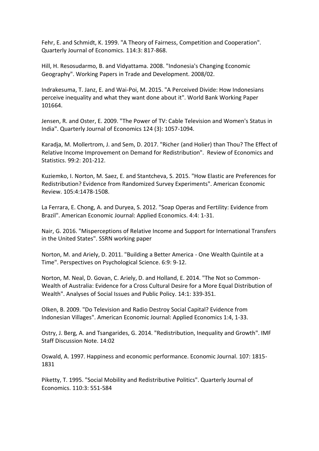Fehr, E. and Schmidt, K. 1999. "A Theory of Fairness, Competition and Cooperation". Quarterly Journal of Economics. 114:3: 817-868.

Hill, H. Resosudarmo, B. and Vidyattama. 2008. "Indonesia's Changing Economic Geography". Working Papers in Trade and Development. 2008/02.

Indrakesuma, T. Janz, E. and Wai-Poi, M. 2015. "A Perceived Divide: How Indonesians perceive inequality and what they want done about it". World Bank Working Paper 101664.

Jensen, R. and Oster, E. 2009. "The Power of TV: Cable Television and Women's Status in India". Quarterly Journal of Economics 124 (3): 1057-1094.

Karadja, M. Mollertrom, J. and Sem, D. 2017. "Richer (and Holier) than Thou? The Effect of Relative Income Improvement on Demand for Redistribution". Review of Economics and Statistics. 99:2: 201-212.

Kuziemko, I. Norton, M. Saez, E. and Stantcheva, S. 2015. "How Elastic are Preferences for Redistribution? Evidence from Randomized Survey Experiments". American Economic Review. 105:4:1478-1508.

La Ferrara, E. Chong, A. and Duryea, S. 2012. "Soap Operas and Fertility: Evidence from Brazil". American Economic Journal: Applied Economics. 4:4: 1-31.

Nair, G. 2016. "Misperceptions of Relative Income and Support for International Transfers in the United States". SSRN working paper

Norton, M. and Ariely, D. 2011. "Building a Better America - One Wealth Quintile at a Time". Perspectives on Psychological Science. 6:9: 9-12.

Norton, M. Neal, D. Govan, C. Ariely, D. and Holland, E. 2014. "The Not so Common-Wealth of Australia: Evidence for a Cross Cultural Desire for a More Equal Distribution of Wealth". Analyses of Social Issues and Public Policy. 14:1: 339-351.

Olken, B. 2009. "Do Television and Radio Destroy Social Capital? Evidence from Indonesian Villages". American Economic Journal: Applied Economics 1:4, 1-33.

Ostry, J. Berg, A. and Tsangarides, G. 2014. "Redistribution, Inequality and Growth". IMF Staff Discussion Note. 14:02

Oswald, A. 1997. Happiness and economic performance. Economic Journal. 107: 1815- 1831

Piketty, T. 1995. "Social Mobility and Redistributive Politics". Quarterly Journal of Economics. 110:3: 551-584